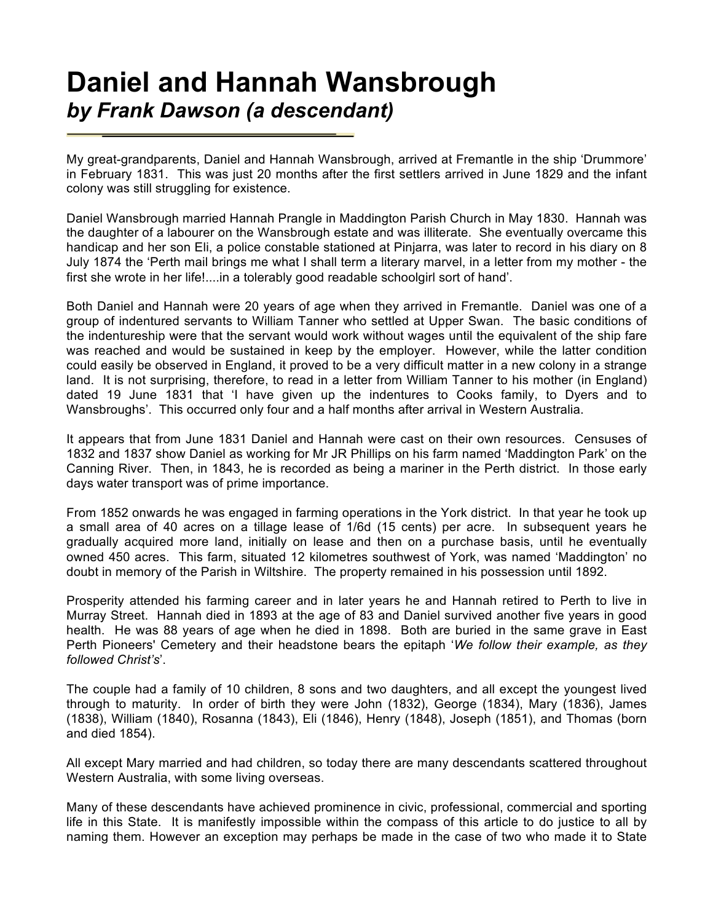## **Daniel and Hannah Wansbrough** *by Frank Dawson (a descendant)*

My great-grandparents, Daniel and Hannah Wansbrough, arrived at Fremantle in the ship 'Drummore' in February 1831. This was just 20 months after the first settlers arrived in June 1829 and the infant colony was still struggling for existence.

Daniel Wansbrough married Hannah Prangle in Maddington Parish Church in May 1830. Hannah was the daughter of a labourer on the Wansbrough estate and was illiterate. She eventually overcame this handicap and her son Eli, a police constable stationed at Pinjarra, was later to record in his diary on 8 July 1874 the 'Perth mail brings me what I shall term a literary marvel, in a letter from my mother - the first she wrote in her life!....in a tolerably good readable schoolgirl sort of hand'.

Both Daniel and Hannah were 20 years of age when they arrived in Fremantle. Daniel was one of a group of indentured servants to William Tanner who settled at Upper Swan. The basic conditions of the indentureship were that the servant would work without wages until the equivalent of the ship fare was reached and would be sustained in keep by the employer. However, while the latter condition could easily be observed in England, it proved to be a very difficult matter in a new colony in a strange land. It is not surprising, therefore, to read in a letter from William Tanner to his mother (in England) dated 19 June 1831 that 'I have given up the indentures to Cooks family, to Dyers and to Wansbroughs'. This occurred only four and a half months after arrival in Western Australia.

It appears that from June 1831 Daniel and Hannah were cast on their own resources. Censuses of 1832 and 1837 show Daniel as working for Mr JR Phillips on his farm named 'Maddington Park' on the Canning River. Then, in 1843, he is recorded as being a mariner in the Perth district. In those early days water transport was of prime importance.

From 1852 onwards he was engaged in farming operations in the York district. In that year he took up a small area of 40 acres on a tillage lease of 1/6d (15 cents) per acre. In subsequent years he gradually acquired more land, initially on lease and then on a purchase basis, until he eventually owned 450 acres. This farm, situated 12 kilometres southwest of York, was named 'Maddington' no doubt in memory of the Parish in Wiltshire. The property remained in his possession until 1892.

Prosperity attended his farming career and in later years he and Hannah retired to Perth to live in Murray Street. Hannah died in 1893 at the age of 83 and Daniel survived another five years in good health. He was 88 years of age when he died in 1898. Both are buried in the same grave in East Perth Pioneers' Cemetery and their headstone bears the epitaph '*We follow their example, as they followed Christ's*'.

The couple had a family of 10 children, 8 sons and two daughters, and all except the youngest lived through to maturity. In order of birth they were John (1832), George (1834), Mary (1836), James (1838), William (1840), Rosanna (1843), Eli (1846), Henry (1848), Joseph (1851), and Thomas (born and died 1854).

All except Mary married and had children, so today there are many descendants scattered throughout Western Australia, with some living overseas.

Many of these descendants have achieved prominence in civic, professional, commercial and sporting life in this State. It is manifestly impossible within the compass of this article to do justice to all by naming them. However an exception may perhaps be made in the case of two who made it to State